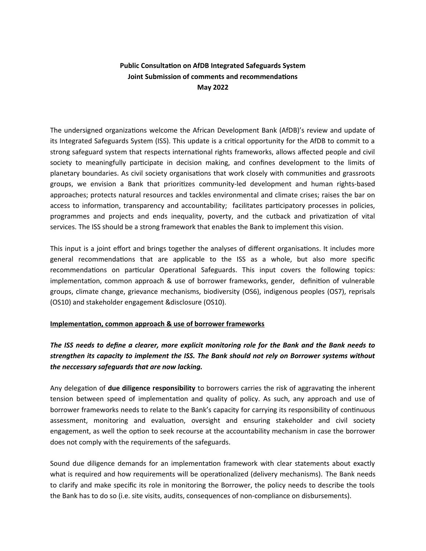## **Public Consultation on AfDB Integrated Safeguards System Joint Submission of comments and recommendations May 2022**

The undersigned organizations welcome the African Development Bank (AfDB)'s review and update of its Integrated Safeguards System (ISS). This update is a critical opportunity for the AfDB to commit to a strong safeguard system that respects international rights frameworks, allows affected people and civil society to meaningfully participate in decision making, and confines development to the limits of planetary boundaries. As civil society organisations that work closely with communities and grassroots groups, we envision a Bank that prioritizes community-led development and human rights-based approaches; protects natural resources and tackles environmental and climate crises; raises the bar on access to information, transparency and accountability; facilitates participatory processes in policies, programmes and projects and ends inequality, poverty, and the cutback and privatization of vital services. The ISS should be a strong framework that enables the Bank to implement this vision.

This input is a joint effort and brings together the analyses of different organisations. It includes more general recommendations that are applicable to the ISS as a whole, but also more specific recommendations on particular Operational Safeguards. This input covers the following topics: implementation, common approach & use of borrower frameworks, gender, definition of vulnerable groups, climate change, grievance mechanisms, biodiversity (OS6), indigenous peoples (OS7), reprisals (OS10) and stakeholder engagement &disclosure (OS10).

#### **Implementation, common approach & use of borrower frameworks**

# *The ISS needs to define a clearer, more explicit monitoring role for the Bank and the Bank needs to strengthen its capacity to implement the ISS. The Bank should not rely on Borrower systems without the neccessary safeguards that are now lacking.*

Any delegation of **due diligence responsibility** to borrowers carries the risk of aggravating the inherent tension between speed of implementation and quality of policy. As such, any approach and use of borrower frameworks needs to relate to the Bank's capacity for carrying its responsibility of continuous assessment, monitoring and evaluation, oversight and ensuring stakeholder and civil society engagement, as well the option to seek recourse at the accountability mechanism in case the borrower does not comply with the requirements of the safeguards.

Sound due diligence demands for an implementation framework with clear statements about exactly what is required and how requirements will be operationalized (delivery mechanisms). The Bank needs to clarify and make specific its role in monitoring the Borrower, the policy needs to describe the tools the Bank has to do so (i.e. site visits, audits, consequences of non-compliance on disbursements).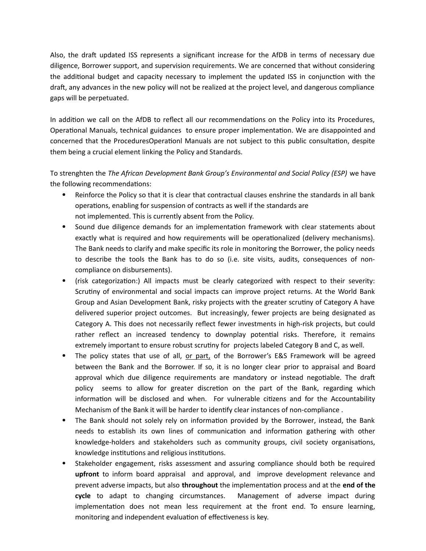Also, the draft updated ISS represents a significant increase for the AfDB in terms of necessary due diligence, Borrower support, and supervision requirements. We are concerned that without considering the additional budget and capacity necessary to implement the updated ISS in conjunction with the draft, any advances in the new policy will not be realized at the project level, and dangerous compliance gaps will be perpetuated.

In addition we call on the AfDB to reflect all our recommendations on the Policy into its Procedures, Operational Manuals, technical guidances to ensure proper implementation. We are disappointed and concerned that the ProceduresOperationl Manuals are not subject to this public consultation, despite them being a crucial element linking the Policy and Standards.

To strenghten the *The African Development Bank Group's Environmental and Social Policy (ESP)* we have the following recommendations:

- Reinforce the Policy so that it is clear that contractual clauses enshrine the standards in all bank operations, enabling for suspension of contracts as well if the standards are not implemented. This is currently absent from the Policy.
- Sound due diligence demands for an implementation framework with clear statements about exactly what is required and how requirements will be operationalized (delivery mechanisms). The Bank needs to clarify and make specific its role in monitoring the Borrower, the policy needs to describe the tools the Bank has to do so (i.e. site visits, audits, consequences of noncompliance on disbursements).
- (risk categorization:) All impacts must be clearly categorized with respect to their severity: Scrutiny of environmental and social impacts can improve project returns. At the World Bank Group and Asian Development Bank, risky projects with the greater scrutiny of Category A have delivered superior project outcomes. But increasingly, fewer projects are being designated as Category A. This does not necessarily reflect fewer investments in high-risk projects, but could rather reflect an increased tendency to downplay potential risks. Therefore, it remains extremely important to ensure robust scrutiny for projects labeled Category B and C, as well.
- The policy states that use of all, or part, of the Borrower's E&S Framework will be agreed between the Bank and the Borrower. If so, it is no longer clear prior to appraisal and Board approval which due diligence requirements are mandatory or instead negotiable. The draft policy seems to allow for greater discretion on the part of the Bank, regarding which information will be disclosed and when. For vulnerable citizens and for the Accountability Mechanism of the Bank it will be harder to identify clear instances of non-compliance .
- The Bank should not solely rely on information provided by the Borrower, instead, the Bank needs to establish its own lines of communication and information gathering with other knowledge-holders and stakeholders such as community groups, civil society organisations, knowledge institutions and religious institutions.
- Stakeholder engagement, risks assessment and assuring compliance should both be required **upfront** to inform board appraisal and approval, and improve development relevance and prevent adverse impacts, but also **throughout** the implementation process and at the **end of the cycle** to adapt to changing circumstances. Management of adverse impact during implementation does not mean less requirement at the front end. To ensure learning, monitoring and independent evaluation of effectiveness is key.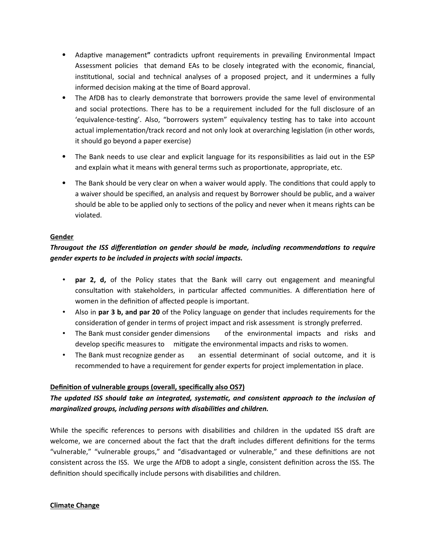- Adaptive management**"** contradicts upfront requirements in prevailing Environmental Impact Assessment policies that demand EAs to be closely integrated with the economic, financial, institutional, social and technical analyses of a proposed project, and it undermines a fully informed decision making at the time of Board approval.
- The AfDB has to clearly demonstrate that borrowers provide the same level of environmental and social protections. There has to be a requirement included for the full disclosure of an 'equivalence-testing'. Also, "borrowers system" equivalency testing has to take into account actual implementation/track record and not only look at overarching legislation (in other words, it should go beyond a paper exercise)
- The Bank needs to use clear and explicit language for its responsibilities as laid out in the ESP and explain what it means with general terms such as proportionate, appropriate, etc.
- The Bank should be very clear on when a waiver would apply. The conditions that could apply to a waiver should be specified, an analysis and request by Borrower should be public, and a waiver should be able to be applied only to sections of the policy and never when it means rights can be violated.

#### **Gender**

## *Througout the ISS differentiation on gender should be made, including recommendations to require gender experts to be included in projects with social impacts.*

- **par 2, d,** of the Policy states that the Bank will carry out engagement and meaningful consultation with stakeholders, in particular affected communities. A differentiation here of women in the definition of affected people is important.
- Also in **par 3 b, and par 20** of the Policy language on gender that includes requirements for the consideration of gender in terms of project impact and risk assessment is strongly preferred.
- The Bank must consider gender dimensions of the environmental impacts and risks and develop specific measures to mitigate the environmental impacts and risks to women.
- The Bank must recognize gender as an essential determinant of social outcome, and it is recommended to have a requirement for gender experts for project implementation in place.

### **Defini tion of vulnerable groups (overall, specifically also OS7)**

# *The updated ISS should take an integrated, systematic, and consistent approach to the inclusion of marginalized groups, including persons with disabilities and children.*

While the specific references to persons with disabilities and children in the updated ISS draft are welcome, we are concerned about the fact that the draft includes different definitions for the terms "vulnerable," "vulnerable groups," and "disadvantaged or vulnerable," and these definitions are not consistent across the ISS. We urge the AfDB to adopt a single, consistent definition across the ISS. The definition should specifically include persons with disabilities and children.

#### **Climate Change**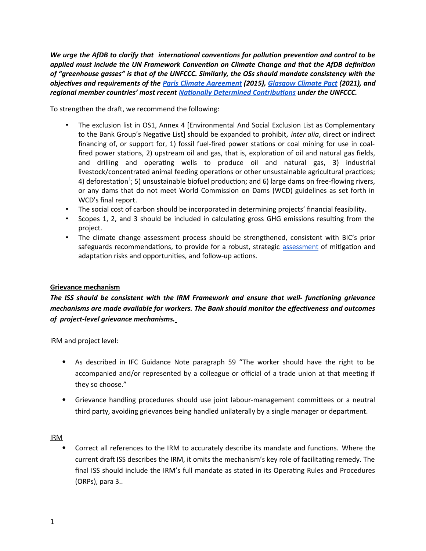*We urge the AfDB to clarify that international conventions for pollution prevention and control to be applied must include the UN Framework Convention on Climate Change and that the AfDB definition of "greenhouse gasses" is that of the UNFCCC. Similarly, the OSs should mandate consistency with the objectives and requirements of the Paris Climate Agreement (2015), Glasgow Climate Pact (2021), and regional member countries' most recent Nationally Determined Contributions under the UNFCCC.* 

To strengthen the draft, we recommend the following:

- The exclusion list in OS1, Annex 4 [Environmental And Social Exclusion List as Complementary to the Bank Group's Negative List] should be expanded to prohibit, *inter alia*, direct or indirect financing of, or support for, 1) fossil fuel-fired power stations or coal mining for use in coalfired power stations, 2) upstream oil and gas, that is, exploration of oil and natural gas fields, and drilling and operating wells to produce oil and natural gas, 3) industrial livestock/concentrated animal feeding operations or other unsustainable agricultural practices; 4) deforestation<sup>[1](#page-3-1)</sup>; 5) unsustainable biofuel production; and 6) large dams on free-flowing rivers, or any dams that do not meet World Commission on Dams (WCD) guidelines as set forth in WCD's final report.
- <span id="page-3-0"></span>• The social cost of carbon should be incorporated in determining projects' financial feasibility.
- Scopes 1, 2, and 3 should be included in calculating gross GHG emissions resulting from the project.
- The climate change assessment process should be strengthened, consistent with BIC's prior safeguards recommendations, to provide for a robust, strategic assessment of mitigation and adaptation risks and opportunities, and follow-up actions.

#### **Grievance mechanism**

*The ISS should be consistent with the IRM Framework and ensure that well- functioning grievance mechanisms are made available for workers. The Bank should monitor the effectiveness and outcomes of project-level grievance mechanisms.*

IRM and project level:

- As described in IFC Guidance Note paragraph 59 "The worker should have the right to be accompanied and/or represented by a colleague or official of a trade union at that meeting if they so choose."
- Grievance handling procedures should use joint labour-management committees or a neutral third party, avoiding grievances being handled unilaterally by a single manager or department.

#### IRM

<span id="page-3-1"></span> Correct all references to the IRM to accurately describe its mandate and functions. Where the current draft ISS describes the IRM, it omits the mechanism's key role of facilitating remedy. The final ISS should include the IRM's full mandate as stated in its Operating Rules and Procedures (ORPs), para 3..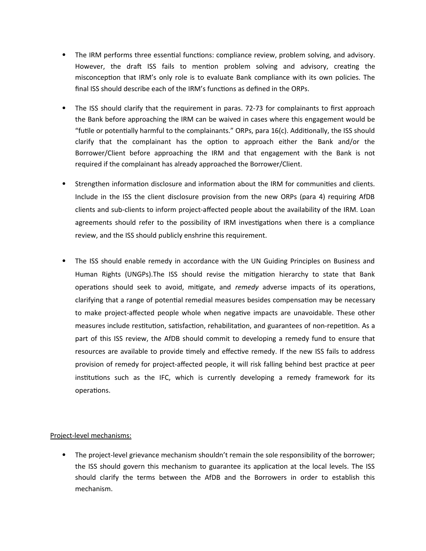- The IRM performs three essential functions: compliance review, problem solving, and advisory. However, the draft ISS fails to mention problem solving and advisory, creating the misconception that IRM's only role is to evaluate Bank compliance with its own policies. The final ISS should describe each of the IRM's functions as defined in the ORPs.
- The ISS should clarify that the requirement in paras. 72-73 for complainants to first approach the Bank before approaching the IRM can be waived in cases where this engagement would be "futile or potentially harmful to the complainants." ORPs, para 16(c). Additionally, the ISS should clarify that the complainant has the option to approach either the Bank and/or the Borrower/Client before approaching the IRM and that engagement with the Bank is not required if the complainant has already approached the Borrower/Client.
- Strengthen information disclosure and information about the IRM for communities and clients. Include in the ISS the client disclosure provision from the new ORPs (para 4) requiring AfDB clients and sub-clients to inform project-affected people about the availability of the IRM. Loan agreements should refer to the possibility of IRM investigations when there is a compliance review, and the ISS should publicly enshrine this requirement.
- The ISS should enable remedy in accordance with the UN Guiding Principles on Business and Human Rights (UNGPs).The ISS should revise the mitigation hierarchy to state that Bank operations should seek to avoid, mitigate, and *remedy* adverse impacts of its operations, clarifying that a range of potential remedial measures besides compensation may be necessary to make project-affected people whole when negative impacts are unavoidable. These other measures include restitution, satisfaction, rehabilitation, and guarantees of non-repetition. As a part of this ISS review, the AfDB should commit to developing a remedy fund to ensure that resources are available to provide timely and effective remedy. If the new ISS fails to address provision of remedy for project-affected people, it will risk falling behind best practice at peer institutions such as the IFC, which is currently developing a remedy framework for its operations.

#### Project-level mechanisms:

 The project-level grievance mechanism shouldn't remain the sole responsibility of the borrower; the ISS should govern this mechanism to guarantee its application at the local levels. The ISS should clarify the terms between the AfDB and the Borrowers in order to establish this mechanism.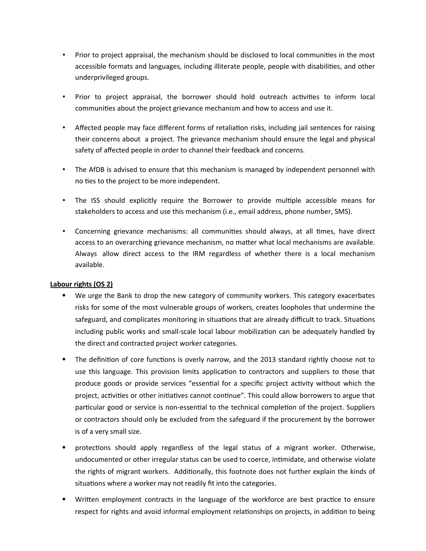- Prior to project appraisal, the mechanism should be disclosed to local communities in the most accessible formats and languages, including illiterate people, people with disabilities, and other underprivileged groups.
- Prior to project appraisal, the borrower should hold outreach activities to inform local communities about the project grievance mechanism and how to access and use it.
- Affected people may face different forms of retaliation risks, including jail sentences for raising their concerns about a project. The grievance mechanism should ensure the legal and physical safety of affected people in order to channel their feedback and concerns.
- The AfDB is advised to ensure that this mechanism is managed by independent personnel with no ties to the project to be more independent.
- The ISS should explicitly require the Borrower to provide multiple accessible means for stakeholders to access and use this mechanism (i.e., email address, phone number, SMS).
- Concerning grievance mechanisms: all communities should always, at all times, have direct access to an overarching grievance mechanism, no matter what local mechanisms are available. Always allow direct access to the IRM regardless of whether there is a local mechanism available.

### **Labour rights (OS 2)**

- We urge the Bank to drop the new category of community workers. This category exacerbates risks for some of the most vulnerable groups of workers, creates loopholes that undermine the safeguard, and complicates monitoring in situations that are already difficult to track. Situations including public works and small-scale local labour mobilization can be adequately handled by the direct and contracted project worker categories.
- The definition of core functions is overly narrow, and the 2013 standard rightly choose not to use this language. This provision limits application to contractors and suppliers to those that produce goods or provide services "essential for a specific project activity without which the project, activities or other initiatives cannot continue". This could allow borrowers to argue that particular good or service is non-essential to the technical completion of the project. Suppliers or contractors should only be excluded from the safeguard if the procurement by the borrower is of a very small size.
- protections should apply regardless of the legal status of a migrant worker. Otherwise, undocumented or other irregular status can be used to coerce, intimidate, and otherwise violate the rights of migrant workers. Additionally, this footnote does not further explain the kinds of situations where a worker may not readily fit into the categories.
- Written employment contracts in the language of the workforce are best practice to ensure respect for rights and avoid informal employment relationships on projects, in addition to being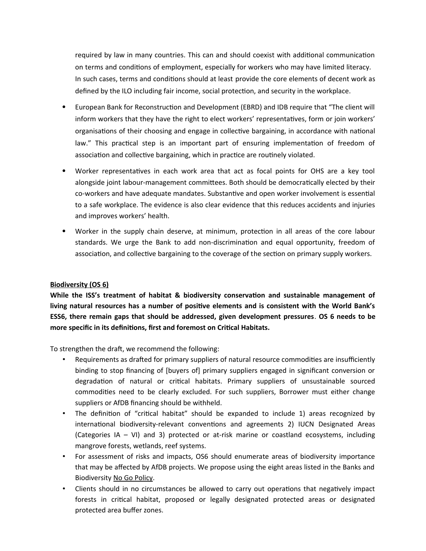required by law in many countries. This can and should coexist with additional communication on terms and conditions of employment, especially for workers who may have limited literacy. In such cases, terms and conditions should at least provide the core elements of decent work as defined by the ILO including fair income, social protection, and security in the workplace.

- European Bank for Reconstruction and Development (EBRD) and IDB require that "The client will inform workers that they have the right to elect workers' representatives, form or join workers' organisations of their choosing and engage in collective bargaining, in accordance with national law." This practical step is an important part of ensuring implementation of freedom of association and collective bargaining, which in practice are routinely violated.
- Worker representatives in each work area that act as focal points for OHS are a key tool alongside joint labour-management committees. Both should be democratically elected by their co-workers and have adequate mandates. Substantive and open worker involvement is essential to a safe workplace. The evidence is also clear evidence that this reduces accidents and injuries and improves workers' health.
- Worker in the supply chain deserve, at minimum, protection in all areas of the core labour standards. We urge the Bank to add non-discrimination and equal opportunity, freedom of association, and collective bargaining to the coverage of the section on primary supply workers.

#### **Biodiversity (OS 6)**

**While the ISS's treatment of habitat & biodiversity conservation and sustainable management of living natural resources has a number of positive elements and is consistent with the World Bank's ESS6, there remain gaps that should be addressed, given development pressures**. **OS 6 needs to be more specific in its definitions, first and foremost on Critical Habitats.** 

To strengthen the draft, we recommend the following:

- Requirements as drafted for primary suppliers of natural resource commodities are insufficiently binding to stop financing of [buyers of] primary suppliers engaged in significant conversion or degradation of natural or critical habitats. Primary suppliers of unsustainable sourced commodities need to be clearly excluded. For such suppliers, Borrower must either change suppliers or AfDB financing should be withheld.
- The definition of "critical habitat" should be expanded to include 1) areas recognized by international biodiversity-relevant conventions and agreements 2) IUCN Designated Areas (Categories IA – VI) and 3) protected or at-risk marine or coastland ecosystems, including mangrove forests, wetlands, reef systems.
- For assessment of risks and impacts, OS6 should enumerate areas of biodiversity importance that may be affected by AfDB projects. We propose using the eight areas listed in the Banks and Biodiversity No Go Policy.
- Clients should in no circumstances be allowed to carry out operations that negatively impact forests in critical habitat, proposed or legally designated protected areas or designated protected area buffer zones.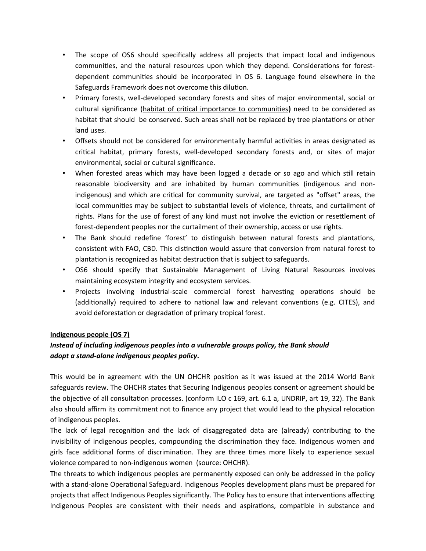- The scope of OS6 should specifically address all projects that impact local and indigenous communities, and the natural resources upon which they depend. Considerations for forestdependent communities should be incorporated in OS 6. Language found elsewhere in the Safeguards Framework does not overcome this dilution.
- Primary forests, well-developed secondary forests and sites of major environmental, social or cultural significance (habitat of critical importance to communities**)** need to be considered as habitat that should be conserved. Such areas shall not be replaced by tree plantations or other land uses.
- Offsets should not be considered for environmentally harmful activities in areas designated as critical habitat, primary forests, well-developed secondary forests and, or sites of major environmental, social or cultural significance.
- When forested areas which may have been logged a decade or so ago and which still retain reasonable biodiversity and are inhabited by human communities (indigenous and nonindigenous) and which are critical for community survival, are targeted as "offset" areas, the local communities may be subject to substantial levels of violence, threats, and curtailment of rights. Plans for the use of forest of any kind must not involve the eviction or resettlement of forest-dependent peoples nor the curtailment of their ownership, access or use rights.
- The Bank should redefine 'forest' to distinguish between natural forests and plantations, consistent with FAO, CBD. This distinction would assure that conversion from natural forest to plantation is recognized as habitat destruction that is subject to safeguards.
- OS6 should specify that Sustainable Management of Living Natural Resources involves maintaining ecosystem integrity and ecosystem services.
- Projects involving industrial-scale commercial forest harvesting operations should be (additionally) required to adhere to national law and relevant conventions (e.g. CITES), and avoid deforestation or degradation of primary tropical forest.

### **Indigenous people (OS 7)**

# *Instead of including indigenous peoples into a vulnerable groups policy, the Bank should adopt a stand-alone indigenous peoples policy.*

This would be in agreement with the UN OHCHR position as it was issued at the 2014 World Bank safeguards review. The OHCHR states that Securing Indigenous peoples consent or agreement should be the objective of all consultation processes. (conform ILO c 169, art. 6.1 a, UNDRIP, art 19, 32). The Bank also should affirm its commitment not to finance any project that would lead to the physical relocation of indigenous peoples.

The lack of legal recognition and the lack of disaggregated data are (already) contributing to the invisibility of indigenous peoples, compounding the discrimination they face. Indigenous women and girls face additional forms of discrimination. They are three times more likely to experience sexual violence compared to non-indigenous women (source: OHCHR).

The threats to which indigenous peoples are permanently exposed can only be addressed in the policy with a stand-alone Operational Safeguard. Indigenous Peoples development plans must be prepared for projects that affect Indigenous Peoples significantly. The Policy has to ensure that interventions affecting Indigenous Peoples are consistent with their needs and aspirations, compatible in substance and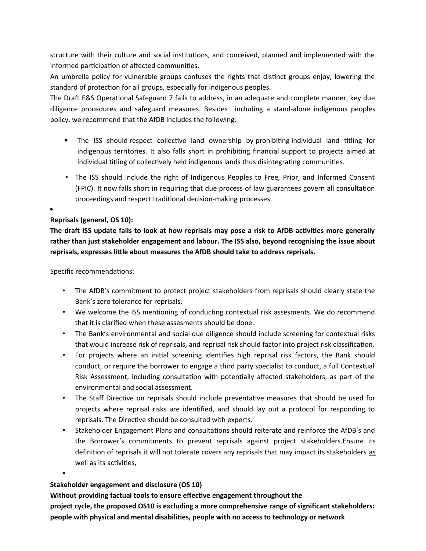structure with their culture and social institutions, and conceived, planned and implemented with the informed participation of affected communities.

An umbrella policy for vulnerable groups confuses the rights that distinct groups enjoy, lowering the standard of protection for all groups, especially for indigenous peoples.

The Draft E&S Operational Safeguard 7 fails to address, in an adequate and complete manner, key due diligence procedures and safeguard measures. Besides including a stand-alone indigenous peoples policy, we recommend that the AfDB includes the following:

- The ISS should respect collective land ownership by prohibiting individual land titling for indigenous territories. It also falls short in prohibiting financial support to projects aimed at individual titling of collectively held indigenous lands thus disintegrating communities.
- The ISS should include the right of Indigenous Peoples to Free, Prior, and Informed Consent (FPIC). It now falls short in requiring that due process of law guarantees govern all consultation proceedings and respect traditional decision-making processes.
- $\bullet$

### **Reprisals (general, OS 10):**

**The draft ISS update fails to look at how reprisals may pose a risk to AfDB activities more generally rather than just stakeholder engagement and labour. The ISS also, beyond recognising the issue about reprisals, expresses little about measures the AfDB should take to address reprisals.**

Specific recommendations:

- The AfDB's commitment to protect project stakeholders from reprisals should clearly state the Bank's zero tolerance for reprisals.
- We welcome the ISS mentioning of conducting contextual risk assesments. We do recommend that it is clarified when these assesments should be done.
- The Bank's environmental and social due diligence should include screening for contextual risks that would increase risk of reprisals, and reprisal risk should factor into project risk classification.
- For projects where an initial screening identifies high reprisal risk factors, the Bank should conduct, or require the borrower to engage a third party specialist to conduct, a full Contextual Risk Assessment, including consultation with potentially affected stakeholders, as part of the environmental and social assessment.
- The Staff Directive on reprisals should include preventative measures that should be used for projects where reprisal risks are identified, and should lay out a protocol for responding to reprisals. The Directive should be consulted with experts.
- Stakeholder Engagement Plans and consultations should reiterate and reinforce the AfDB's and the Borrower's commitments to prevent reprisals against project stakeholders.Ensure its definition of reprisals it will not tolerate covers any reprisals that may impact its stakeholders as well as its activities,

 $\bullet$ 

### **Stakeholder engagement and disclosure (OS 10)**

**Without providing factual tools to ensure effective engagement throughout the**

**project cycle, the proposed OS10 is excluding a more comprehensive range of significant stakeholders: people with physical and mental disabilities, people with no access to technology or network**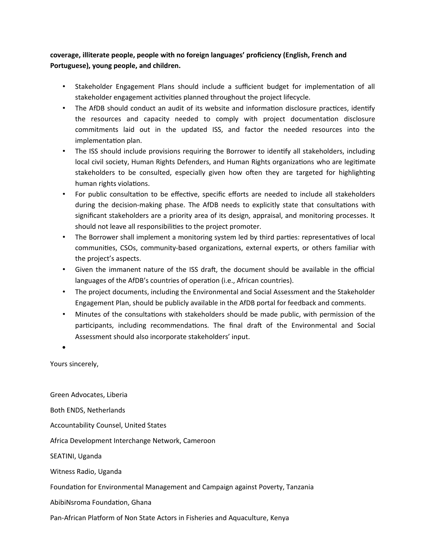**coverage, illiterate people, people with no foreign languages' proficiency (English, French and Portuguese), young people, and children.**

- Stakeholder Engagement Plans should include a sufficient budget for implementation of all stakeholder engagement activities planned throughout the project lifecycle.
- The AfDB should conduct an audit of its website and information disclosure practices, identify the resources and capacity needed to comply with project documentation disclosure commitments laid out in the updated ISS, and factor the needed resources into the implementation plan.
- The ISS should include provisions requiring the Borrower to identify all stakeholders, including local civil society, Human Rights Defenders, and Human Rights organizations who are legitimate stakeholders to be consulted, especially given how often they are targeted for highlighting human rights violations.
- For public consultation to be effective, specific efforts are needed to include all stakeholders during the decision-making phase. The AfDB needs to explicitly state that consultations with significant stakeholders are a priority area of its design, appraisal, and monitoring processes. It should not leave all responsibilities to the project promoter.
- The Borrower shall implement a monitoring system led by third parties: representatives of local communities, CSOs, community-based organizations, external experts, or others familiar with the project's aspects.
- Given the immanent nature of the ISS draft, the document should be available in the official languages of the AfDB's countries of operation (i.e., African countries).
- The project documents, including the Environmental and Social Assessment and the Stakeholder Engagement Plan, should be publicly available in the AfDB portal for feedback and comments.
- Minutes of the consultations with stakeholders should be made public, with permission of the participants, including recommendations. The final draft of the Environmental and Social Assessment should also incorporate stakeholders' input.

 $\bullet$ 

Yours sincerely,

Green Advocates, Liberia Both ENDS, Netherlands Accountability Counsel, United States Africa Development Interchange Network, Cameroon SEATINI, Uganda Witness Radio, Uganda Foundation for Environmental Management and Campaign against Poverty, Tanzania AbibiNsroma Foundation, Ghana Pan-African Platform of Non State Actors in Fisheries and Aquaculture, Kenya